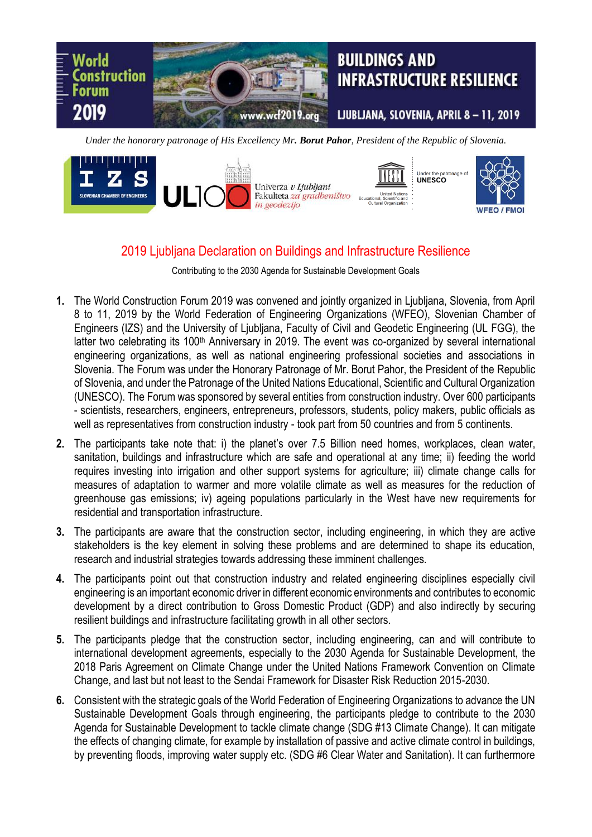

*Under the honorary patronage of His Excellency Mr. Borut Pahor, President of the Republic of Slovenia.*



## 2019 Ljubljana Declaration on Buildings and Infrastructure Resilience

Contributing to the 2030 Agenda for Sustainable Development Goals

- **1.** The World Construction Forum 2019 was convened and jointly organized in Ljubljana, Slovenia, from April 8 to 11, 2019 by the World Federation of Engineering Organizations (WFEO), Slovenian Chamber of Engineers (IZS) and the University of Ljubljana, Faculty of Civil and Geodetic Engineering (UL FGG), the latter two celebrating its 100<sup>th</sup> Anniversary in 2019. The event was co-organized by several international engineering organizations, as well as national engineering professional societies and associations in Slovenia. The Forum was under the Honorary Patronage of Mr. Borut Pahor, the President of the Republic of Slovenia, and under the Patronage of the United Nations Educational, Scientific and Cultural Organization (UNESCO). The Forum was sponsored by several entities from construction industry. Over 600 participants - scientists, researchers, engineers, entrepreneurs, professors, students, policy makers, public officials as well as representatives from construction industry - took part from 50 countries and from 5 continents.
- **2.** The participants take note that: i) the planet's over 7.5 Billion need homes, workplaces, clean water, sanitation, buildings and infrastructure which are safe and operational at any time; ii) feeding the world requires investing into irrigation and other support systems for agriculture; iii) climate change calls for measures of adaptation to warmer and more volatile climate as well as measures for the reduction of greenhouse gas emissions; iv) ageing populations particularly in the West have new requirements for residential and transportation infrastructure.
- **3.** The participants are aware that the construction sector, including engineering, in which they are active stakeholders is the key element in solving these problems and are determined to shape its education, research and industrial strategies towards addressing these imminent challenges.
- **4.** The participants point out that construction industry and related engineering disciplines especially civil engineering is an important economic driver in different economic environments and contributes to economic development by a direct contribution to Gross Domestic Product (GDP) and also indirectly by securing resilient buildings and infrastructure facilitating growth in all other sectors.
- **5.** The participants pledge that the construction sector, including engineering, can and will contribute to international development agreements, especially to the 2030 Agenda for Sustainable Development, the 2018 Paris Agreement on Climate Change under the United Nations Framework Convention on Climate Change, and last but not least to the Sendai Framework for Disaster Risk Reduction 2015-2030.
- **6.** Consistent with the strategic goals of the World Federation of Engineering Organizations to advance the UN Sustainable Development Goals through engineering, the participants pledge to contribute to the 2030 Agenda for Sustainable Development to tackle climate change (SDG #13 Climate Change). It can mitigate the effects of changing climate, for example by installation of passive and active climate control in buildings, by preventing floods, improving water supply etc. (SDG #6 Clear Water and Sanitation). It can furthermore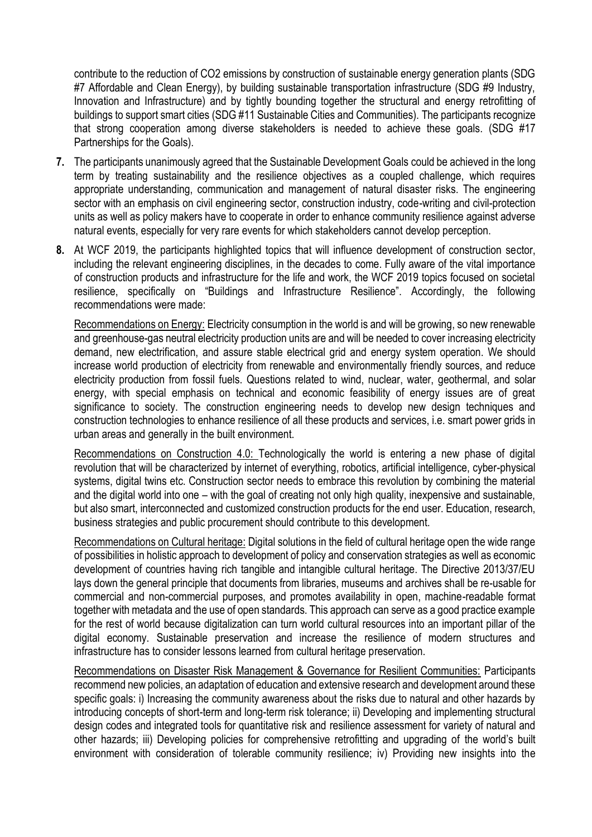contribute to the reduction of CO2 emissions by construction of sustainable energy generation plants (SDG #7 Affordable and Clean Energy), by building sustainable transportation infrastructure (SDG #9 Industry, Innovation and Infrastructure) and by tightly bounding together the structural and energy retrofitting of buildings to support smart cities (SDG #11 Sustainable Cities and Communities). The participants recognize that strong cooperation among diverse stakeholders is needed to achieve these goals. (SDG #17 Partnerships for the Goals).

- **7.** The participants unanimously agreed that the Sustainable Development Goals could be achieved in the long term by treating sustainability and the resilience objectives as a coupled challenge, which requires appropriate understanding, communication and management of natural disaster risks. The engineering sector with an emphasis on civil engineering sector, construction industry, code-writing and civil-protection units as well as policy makers have to cooperate in order to enhance community resilience against adverse natural events, especially for very rare events for which stakeholders cannot develop perception.
- **8.** At WCF 2019, the participants highlighted topics that will influence development of construction sector, including the relevant engineering disciplines, in the decades to come. Fully aware of the vital importance of construction products and infrastructure for the life and work, the WCF 2019 topics focused on societal resilience, specifically on "Buildings and Infrastructure Resilience". Accordingly, the following recommendations were made:

Recommendations on Energy: Electricity consumption in the world is and will be growing, so new renewable and greenhouse-gas neutral electricity production units are and will be needed to cover increasing electricity demand, new electrification, and assure stable electrical grid and energy system operation. We should increase world production of electricity from renewable and environmentally friendly sources, and reduce electricity production from fossil fuels. Questions related to wind, nuclear, water, geothermal, and solar energy, with special emphasis on technical and economic feasibility of energy issues are of great significance to society. The construction engineering needs to develop new design techniques and construction technologies to enhance resilience of all these products and services, i.e. smart power grids in urban areas and generally in the built environment.

Recommendations on Construction 4.0: Technologically the world is entering a new phase of digital revolution that will be characterized by internet of everything, robotics, artificial intelligence, cyber-physical systems, digital twins etc. Construction sector needs to embrace this revolution by combining the material and the digital world into one – with the goal of creating not only high quality, inexpensive and sustainable, but also smart, interconnected and customized construction products for the end user. Education, research, business strategies and public procurement should contribute to this development.

Recommendations on Cultural heritage: Digital solutions in the field of cultural heritage open the wide range of possibilities in holistic approach to development of policy and conservation strategies as well as economic development of countries having rich tangible and intangible cultural heritage. The Directive 2013/37/EU lays down the general principle that documents from libraries, museums and archives shall be re-usable for commercial and non-commercial purposes, and promotes availability in open, machine-readable format together with metadata and the use of open standards. This approach can serve as a good practice example for the rest of world because digitalization can turn world cultural resources into an important pillar of the digital economy. Sustainable preservation and increase the resilience of modern structures and infrastructure has to consider lessons learned from cultural heritage preservation.

Recommendations on Disaster Risk Management & Governance for Resilient Communities: Participants recommend new policies, an adaptation of education and extensive research and development around these specific goals: i) Increasing the community awareness about the risks due to natural and other hazards by introducing concepts of short-term and long-term risk tolerance; ii) Developing and implementing structural design codes and integrated tools for quantitative risk and resilience assessment for variety of natural and other hazards; iii) Developing policies for comprehensive retrofitting and upgrading of the world's built environment with consideration of tolerable community resilience; iv) Providing new insights into the